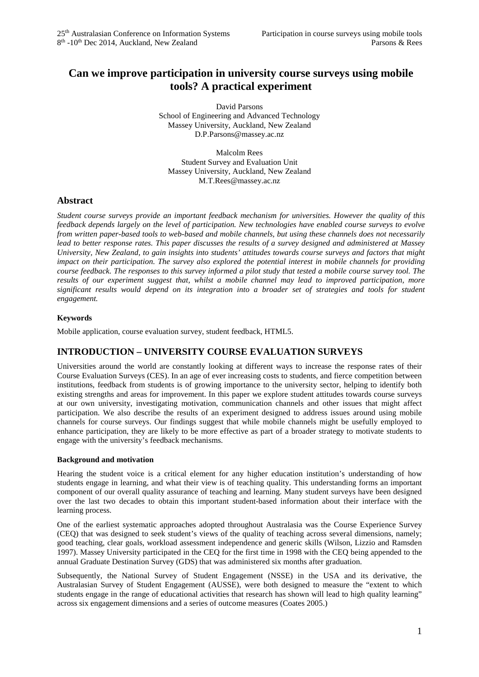# **Can we improve participation in university course surveys using mobile tools? A practical experiment**

David Parsons School of Engineering and Advanced Technology Massey University, Auckland, New Zealand D.P.Parsons@massey.ac.nz

Malcolm Rees Student Survey and Evaluation Unit Massey University, Auckland, New Zealand M.T.Rees@massey.ac.nz

## **Abstract**

*Student course surveys provide an important feedback mechanism for universities. However the quality of this feedback depends largely on the level of participation. New technologies have enabled course surveys to evolve from written paper-based tools to web-based and mobile channels, but using these channels does not necessarily lead to better response rates. This paper discusses the results of a survey designed and administered at Massey University, New Zealand, to gain insights into students' attitudes towards course surveys and factors that might impact on their participation. The survey also explored the potential interest in mobile channels for providing course feedback. The responses to this survey informed a pilot study that tested a mobile course survey tool. The results of our experiment suggest that, whilst a mobile channel may lead to improved participation, more significant results would depend on its integration into a broader set of strategies and tools for student engagement.*

## **Keywords**

Mobile application, course evaluation survey, student feedback, HTML5.

## **INTRODUCTION – UNIVERSITY COURSE EVALUATION SURVEYS**

Universities around the world are constantly looking at different ways to increase the response rates of their Course Evaluation Surveys (CES). In an age of ever increasing costs to students, and fierce competition between institutions, feedback from students is of growing importance to the university sector, helping to identify both existing strengths and areas for improvement. In this paper we explore student attitudes towards course surveys at our own university, investigating motivation, communication channels and other issues that might affect participation. We also describe the results of an experiment designed to address issues around using mobile channels for course surveys. Our findings suggest that while mobile channels might be usefully employed to enhance participation, they are likely to be more effective as part of a broader strategy to motivate students to engage with the university's feedback mechanisms.

### **Background and motivation**

Hearing the student voice is a critical element for any higher education institution's understanding of how students engage in learning, and what their view is of teaching quality. This understanding forms an important component of our overall quality assurance of teaching and learning. Many student surveys have been designed over the last two decades to obtain this important student-based information about their interface with the learning process.

One of the earliest systematic approaches adopted throughout Australasia was the Course Experience Survey (CEQ) that was designed to seek student's views of the quality of teaching across several dimensions, namely; good teaching, clear goals, workload assessment independence and generic skills (Wilson, Lizzio and Ramsden 1997). Massey University participated in the CEQ for the first time in 1998 with the CEQ being appended to the annual Graduate Destination Survey (GDS) that was administered six months after graduation.

Subsequently, the National Survey of Student Engagement (NSSE) in the USA and its derivative, the Australasian Survey of Student Engagement (AUSSE), were both designed to measure the "extent to which students engage in the range of educational activities that research has shown will lead to high quality learning" across six engagement dimensions and a series of outcome measures (Coates 2005.)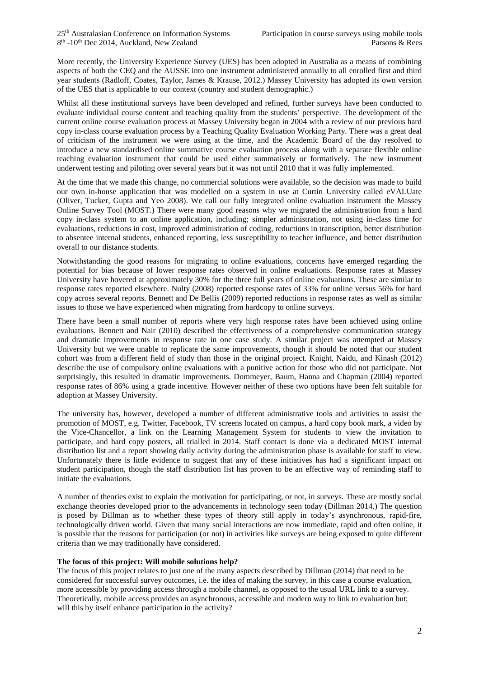More recently, the University Experience Survey (UES) has been adopted in Australia as a means of combining aspects of both the CEQ and the AUSSE into one instrument administered annually to all enrolled first and third year students (Radloff, Coates, Taylor, James & Krause, 2012.) Massey University has adopted its own version of the UES that is applicable to our context (country and student demographic.)

Whilst all these institutional surveys have been developed and refined, further surveys have been conducted to evaluate individual course content and teaching quality from the students' perspective. The development of the current online course evaluation process at Massey University began in 2004 with a review of our previous hard copy in-class course evaluation process by a Teaching Quality Evaluation Working Party. There was a great deal of criticism of the instrument we were using at the time, and the Academic Board of the day resolved to introduce a new standardised online summative course evaluation process along with a separate flexible online teaching evaluation instrument that could be used either summatively or formatively. The new instrument underwent testing and piloting over several years but it was not until 2010 that it was fully implemented.

At the time that we made this change, no commercial solutions were available, so the decision was made to build our own in-house application that was modelled on a system in use at Curtin University called *e*VALUate (Oliver, Tucker, Gupta and Yeo 2008). We call our fully integrated online evaluation instrument the Massey Online Survey Tool (MOST.) There were many good reasons why we migrated the administration from a hard copy in-class system to an online application, including; simpler administration, not using in-class time for evaluations, reductions in cost, improved administration of coding, reductions in transcription, better distribution to absentee internal students, enhanced reporting, less susceptibility to teacher influence, and better distribution overall to our distance students.

Notwithstanding the good reasons for migrating to online evaluations, concerns have emerged regarding the potential for bias because of lower response rates observed in online evaluations. Response rates at Massey University have hovered at approximately 30% for the three full years of online evaluations. These are similar to response rates reported elsewhere. Nulty (2008) reported response rates of 33% for online versus 56% for hard copy across several reports. Bennett and De Bellis (2009) reported reductions in response rates as well as similar issues to those we have experienced when migrating from hardcopy to online surveys.

There have been a small number of reports where very high response rates have been achieved using online evaluations. Bennett and Nair (2010) described the effectiveness of a comprehensive communication strategy and dramatic improvements in response rate in one case study. A similar project was attempted at Massey University but we were unable to replicate the same improvements, though it should be noted that our student cohort was from a different field of study than those in the original project. Knight, Naidu, and Kinash (2012) describe the use of compulsory online evaluations with a punitive action for those who did not participate. Not surprisingly, this resulted in dramatic improvements. Dommeyer, Baum, Hanna and Chapman (2004) reported response rates of 86% using a grade incentive. However neither of these two options have been felt suitable for adoption at Massey University.

The university has, however, developed a number of different administrative tools and activities to assist the promotion of MOST, e.g. Twitter, Facebook, TV screens located on campus, a hard copy book mark, a video by the Vice-Chancellor, a link on the Learning Management System for students to view the invitation to participate, and hard copy posters, all trialled in 2014. Staff contact is done via a dedicated MOST internal distribution list and a report showing daily activity during the administration phase is available for staff to view. Unfortunately there is little evidence to suggest that any of these initiatives has had a significant impact on student participation, though the staff distribution list has proven to be an effective way of reminding staff to initiate the evaluations.

A number of theories exist to explain the motivation for participating, or not, in surveys. These are mostly social exchange theories developed prior to the advancements in technology seen today (Dillman 2014.) The question is posed by Dillman as to whether these types of theory still apply in today's asynchronous, rapid-fire, technologically driven world. Given that many social interactions are now immediate, rapid and often online, it is possible that the reasons for participation (or not) in activities like surveys are being exposed to quite different criteria than we may traditionally have considered.

### **The focus of this project: Will mobile solutions help?**

The focus of this project relates to just one of the many aspects described by Dillman (2014) that need to be considered for successful survey outcomes, i.e. the idea of making the survey, in this case a course evaluation, more accessible by providing access through a mobile channel, as opposed to the usual URL link to a survey. Theoretically, mobile access provides an asynchronous, accessible and modern way to link to evaluation but; will this by itself enhance participation in the activity?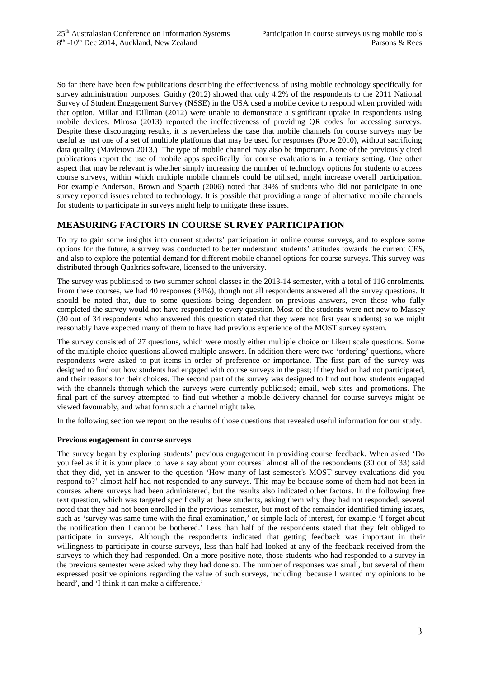So far there have been few publications describing the effectiveness of using mobile technology specifically for survey administration purposes. Guidry (2012) showed that only 4.2% of the respondents to the 2011 National Survey of Student Engagement Survey (NSSE) in the USA used a mobile device to respond when provided with that option. Millar and Dillman (2012) were unable to demonstrate a significant uptake in respondents using mobile devices. Mirosa (2013) reported the ineffectiveness of providing QR codes for accessing surveys. Despite these discouraging results, it is nevertheless the case that mobile channels for course surveys may be useful as just one of a set of multiple platforms that may be used for responses (Pope 2010), without sacrificing data quality (Mavletova 2013.) The type of mobile channel may also be important. None of the previously cited publications report the use of mobile apps specifically for course evaluations in a tertiary setting. One other aspect that may be relevant is whether simply increasing the number of technology options for students to access course surveys, within which multiple mobile channels could be utilised, might increase overall participation. For example Anderson, Brown and Spaeth (2006) noted that 34% of students who did not participate in one survey reported issues related to technology. It is possible that providing a range of alternative mobile channels for students to participate in surveys might help to mitigate these issues.

## **MEASURING FACTORS IN COURSE SURVEY PARTICIPATION**

To try to gain some insights into current students' participation in online course surveys, and to explore some options for the future, a survey was conducted to better understand students' attitudes towards the current CES, and also to explore the potential demand for different mobile channel options for course surveys. This survey was distributed through Qualtrics software, licensed to the university.

The survey was publicised to two summer school classes in the 2013-14 semester, with a total of 116 enrolments. From these courses, we had 40 responses (34%), though not all respondents answered all the survey questions. It should be noted that, due to some questions being dependent on previous answers, even those who fully completed the survey would not have responded to every question. Most of the students were not new to Massey (30 out of 34 respondents who answered this question stated that they were not first year students) so we might reasonably have expected many of them to have had previous experience of the MOST survey system.

The survey consisted of 27 questions, which were mostly either multiple choice or Likert scale questions. Some of the multiple choice questions allowed multiple answers. In addition there were two 'ordering' questions, where respondents were asked to put items in order of preference or importance. The first part of the survey was designed to find out how students had engaged with course surveys in the past; if they had or had not participated, and their reasons for their choices. The second part of the survey was designed to find out how students engaged with the channels through which the surveys were currently publicised; email, web sites and promotions. The final part of the survey attempted to find out whether a mobile delivery channel for course surveys might be viewed favourably, and what form such a channel might take.

In the following section we report on the results of those questions that revealed useful information for our study.

### **Previous engagement in course surveys**

The survey began by exploring students' previous engagement in providing course feedback. When asked 'Do you feel as if it is your place to have a say about your courses' almost all of the respondents (30 out of 33) said that they did, yet in answer to the question 'How many of last semester's MOST survey evaluations did you respond to?' almost half had not responded to any surveys. This may be because some of them had not been in courses where surveys had been administered, but the results also indicated other factors. In the following free text question, which was targeted specifically at these students, asking them why they had not responded, several noted that they had not been enrolled in the previous semester, but most of the remainder identified timing issues, such as 'survey was same time with the final examination,' or simple lack of interest, for example 'I forget about the notification then I cannot be bothered.' Less than half of the respondents stated that they felt obliged to participate in surveys. Although the respondents indicated that getting feedback was important in their willingness to participate in course surveys, less than half had looked at any of the feedback received from the surveys to which they had responded. On a more positive note, those students who had responded to a survey in the previous semester were asked why they had done so. The number of responses was small, but several of them expressed positive opinions regarding the value of such surveys, including 'because I wanted my opinions to be heard', and 'I think it can make a difference.'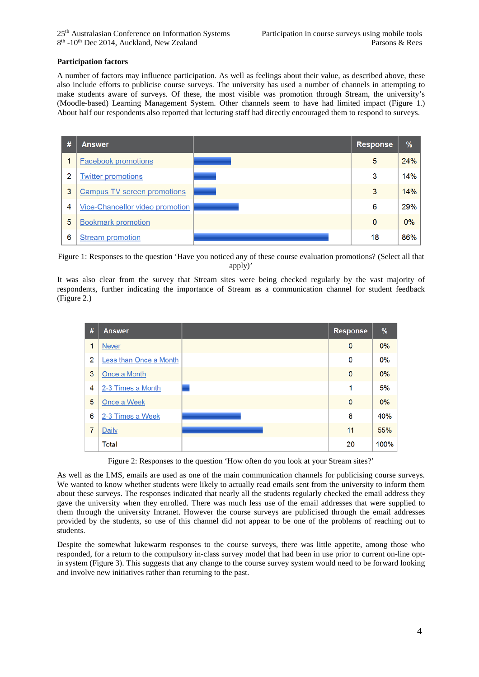### **Participation factors**

A number of factors may influence participation. As well as feelings about their value, as described above, these also include efforts to publicise course surveys. The university has used a number of channels in attempting to make students aware of surveys. Of these, the most visible was promotion through Stream, the university's (Moodle-based) Learning Management System. Other channels seem to have had limited impact (Figure 1.) About half our respondents also reported that lecturing staff had directly encouraged them to respond to surveys.



Figure 1: Responses to the question 'Have you noticed any of these course evaluation promotions? (Select all that apply)'

It was also clear from the survey that Stream sites were being checked regularly by the vast majority of respondents, further indicating the importance of Stream as a communication channel for student feedback (Figure 2.)

| #              | <b>Answer</b>          | <b>Response</b> | %    |
|----------------|------------------------|-----------------|------|
| 1              | <b>Never</b>           | $\mathbf 0$     | 0%   |
| 2              | Less than Once a Month | 0               | 0%   |
| 3              | Once a Month           | $\mathbf 0$     | 0%   |
| 4              | 2-3 Times a Month      | 1               | 5%   |
| 5              | Once a Week            | 0               | 0%   |
| 6              | 2-3 Times a Week       | 8               | 40%  |
| $\overline{7}$ | Daily                  | 11              | 55%  |
|                | Total                  | 20              | 100% |

Figure 2: Responses to the question 'How often do you look at your Stream sites?'

As well as the LMS, emails are used as one of the main communication channels for publicising course surveys. We wanted to know whether students were likely to actually read emails sent from the university to inform them about these surveys. The responses indicated that nearly all the students regularly checked the email address they gave the university when they enrolled. There was much less use of the email addresses that were supplied to them through the university Intranet. However the course surveys are publicised through the email addresses provided by the students, so use of this channel did not appear to be one of the problems of reaching out to students.

Despite the somewhat lukewarm responses to the course surveys, there was little appetite, among those who responded, for a return to the compulsory in-class survey model that had been in use prior to current on-line optin system (Figure 3). This suggests that any change to the course survey system would need to be forward looking and involve new initiatives rather than returning to the past.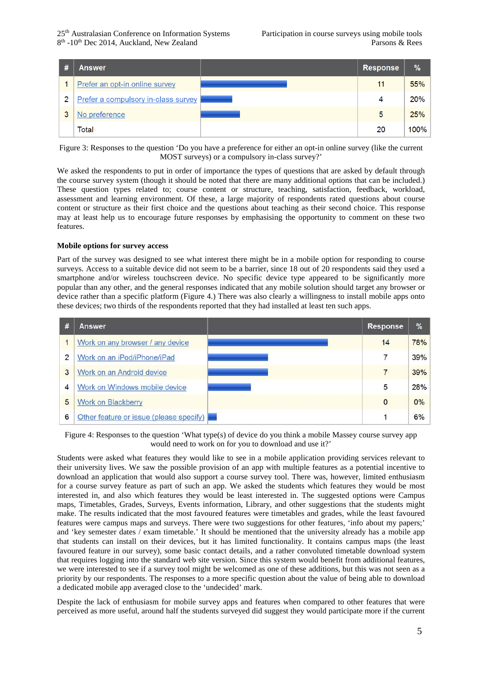$25<sup>th</sup>$  Australasian Conference on Information Systems Participation in course surveys using mobile tools  $8<sup>th</sup>$ -10<sup>th</sup> Dec 2014. Auckland. New Zealand Parsons & Rees  $8<sup>th</sup>$  -10<sup>th</sup> Dec 2014, Auckland, New Zealand

| #              | Answer                              | <b>Response</b> | $\%$       |
|----------------|-------------------------------------|-----------------|------------|
|                | Prefer an opt-in online survey      | 11              | 55%        |
| $\overline{2}$ | Prefer a compulsory in-class survey | 4               | <b>20%</b> |
|                | No preference                       | 5               | 25%        |
|                | Total                               | 20              | 100%       |

Figure 3: Responses to the question 'Do you have a preference for either an opt-in online survey (like the current MOST surveys) or a compulsory in-class survey?'

We asked the respondents to put in order of importance the types of questions that are asked by default through the course survey system (though it should be noted that there are many additional options that can be included.) These question types related to; course content or structure, teaching, satisfaction, feedback, workload, assessment and learning environment. Of these, a large majority of respondents rated questions about course content or structure as their first choice and the questions about teaching as their second choice. This response may at least help us to encourage future responses by emphasising the opportunity to comment on these two features.

### **Mobile options for survey access**

Part of the survey was designed to see what interest there might be in a mobile option for responding to course surveys. Access to a suitable device did not seem to be a barrier, since 18 out of 20 respondents said they used a smartphone and/or wireless touchscreen device. No specific device type appeared to be significantly more popular than any other, and the general responses indicated that any mobile solution should target any browser or device rather than a specific platform (Figure 4.) There was also clearly a willingness to install mobile apps onto these devices; two thirds of the respondents reported that they had installed at least ten such apps.



Figure 4: Responses to the question 'What type(s) of device do you think a mobile Massey course survey app would need to work on for you to download and use it?'

Students were asked what features they would like to see in a mobile application providing services relevant to their university lives. We saw the possible provision of an app with multiple features as a potential incentive to download an application that would also support a course survey tool. There was, however, limited enthusiasm for a course survey feature as part of such an app. We asked the students which features they would be most interested in, and also which features they would be least interested in. The suggested options were Campus maps, Timetables, Grades, Surveys, Events information, Library, and other suggestions that the students might make. The results indicated that the most favoured features were timetables and grades, while the least favoured features were campus maps and surveys. There were two suggestions for other features, 'info about my papers;' and 'key semester dates / exam timetable.' It should be mentioned that the university already has a mobile app that students can install on their devices, but it has limited functionality. It contains campus maps (the least favoured feature in our survey), some basic contact details, and a rather convoluted timetable download system that requires logging into the standard web site version. Since this system would benefit from additional features, we were interested to see if a survey tool might be welcomed as one of these additions, but this was not seen as a priority by our respondents. The responses to a more specific question about the value of being able to download a dedicated mobile app averaged close to the 'undecided' mark.

Despite the lack of enthusiasm for mobile survey apps and features when compared to other features that were perceived as more useful, around half the students surveyed did suggest they would participate more if the current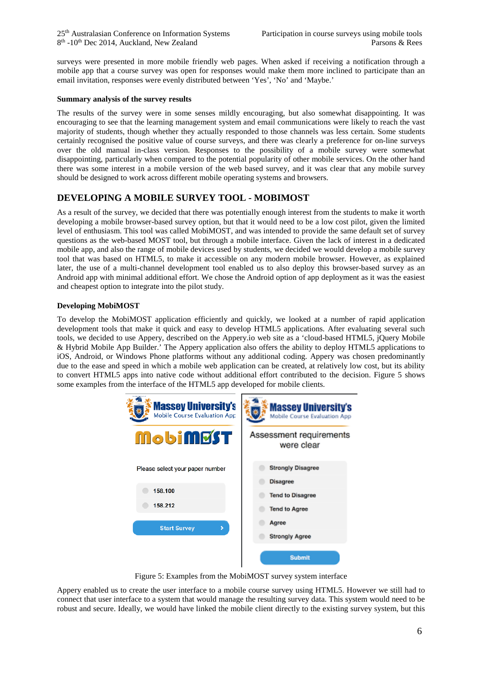surveys were presented in more mobile friendly web pages. When asked if receiving a notification through a mobile app that a course survey was open for responses would make them more inclined to participate than an email invitation, responses were evenly distributed between 'Yes', 'No' and 'Maybe.'

### **Summary analysis of the survey results**

The results of the survey were in some senses mildly encouraging, but also somewhat disappointing. It was encouraging to see that the learning management system and email communications were likely to reach the vast majority of students, though whether they actually responded to those channels was less certain. Some students certainly recognised the positive value of course surveys, and there was clearly a preference for on-line surveys over the old manual in-class version. Responses to the possibility of a mobile survey were somewhat disappointing, particularly when compared to the potential popularity of other mobile services. On the other hand there was some interest in a mobile version of the web based survey, and it was clear that any mobile survey should be designed to work across different mobile operating systems and browsers.

## **DEVELOPING A MOBILE SURVEY TOOL - MOBIMOST**

As a result of the survey, we decided that there was potentially enough interest from the students to make it worth developing a mobile browser-based survey option, but that it would need to be a low cost pilot, given the limited level of enthusiasm. This tool was called MobiMOST, and was intended to provide the same default set of survey questions as the web-based MOST tool, but through a mobile interface. Given the lack of interest in a dedicated mobile app, and also the range of mobile devices used by students, we decided we would develop a mobile survey tool that was based on HTML5, to make it accessible on any modern mobile browser. However, as explained later, the use of a multi-channel development tool enabled us to also deploy this browser-based survey as an Android app with minimal additional effort. We chose the Android option of app deployment as it was the easiest and cheapest option to integrate into the pilot study.

### **Developing MobiMOST**

To develop the MobiMOST application efficiently and quickly, we looked at a number of rapid application development tools that make it quick and easy to develop HTML5 applications. After evaluating several such tools, we decided to use Appery, described on the Appery.io web site as a 'cloud-based HTML5, jQuery Mobile & Hybrid Mobile App Builder.' The Appery application also offers the ability to deploy HTML5 applications to iOS, Android, or Windows Phone platforms without any additional coding. Appery was chosen predominantly due to the ease and speed in which a mobile web application can be created, at relatively low cost, but its ability to convert HTML5 apps into native code without additional effort contributed to the decision. Figure 5 shows some examples from the interface of the HTML5 app developed for mobile clients.



Figure 5: Examples from the MobiMOST survey system interface

Appery enabled us to create the user interface to a mobile course survey using HTML5. However we still had to connect that user interface to a system that would manage the resulting survey data. This system would need to be robust and secure. Ideally, we would have linked the mobile client directly to the existing survey system, but this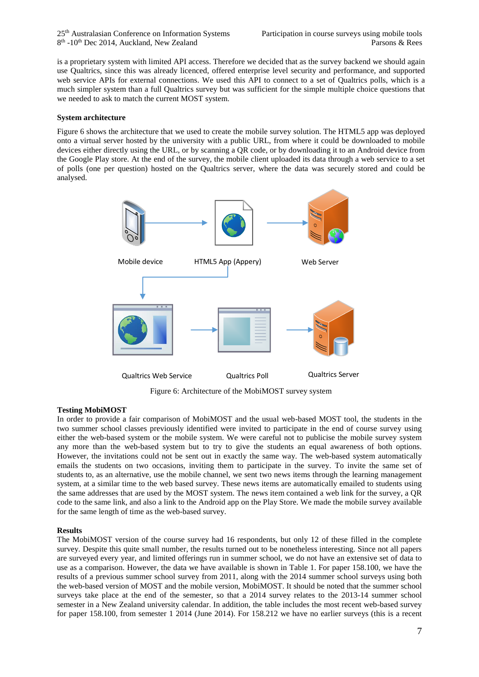is a proprietary system with limited API access. Therefore we decided that as the survey backend we should again use Qualtrics, since this was already licenced, offered enterprise level security and performance, and supported web service APIs for external connections. We used this API to connect to a set of Qualtrics polls, which is a much simpler system than a full Qualtrics survey but was sufficient for the simple multiple choice questions that we needed to ask to match the current MOST system.

### **System architecture**

Figure 6 shows the architecture that we used to create the mobile survey solution. The HTML5 app was deployed onto a virtual server hosted by the university with a public URL, from where it could be downloaded to mobile devices either directly using the URL, or by scanning a QR code, or by downloading it to an Android device from the Google Play store. At the end of the survey, the mobile client uploaded its data through a web service to a set of polls (one per question) hosted on the Qualtrics server, where the data was securely stored and could be analysed.



Figure 6: Architecture of the MobiMOST survey system

### **Testing MobiMOST**

In order to provide a fair comparison of MobiMOST and the usual web-based MOST tool, the students in the two summer school classes previously identified were invited to participate in the end of course survey using either the web-based system or the mobile system. We were careful not to publicise the mobile survey system any more than the web-based system but to try to give the students an equal awareness of both options. However, the invitations could not be sent out in exactly the same way. The web-based system automatically emails the students on two occasions, inviting them to participate in the survey. To invite the same set of students to, as an alternative, use the mobile channel, we sent two news items through the learning management system, at a similar time to the web based survey. These news items are automatically emailed to students using the same addresses that are used by the MOST system. The news item contained a web link for the survey, a QR code to the same link, and also a link to the Android app on the Play Store. We made the mobile survey available for the same length of time as the web-based survey.

### **Results**

The MobiMOST version of the course survey had 16 respondents, but only 12 of these filled in the complete survey. Despite this quite small number, the results turned out to be nonetheless interesting. Since not all papers are surveyed every year, and limited offerings run in summer school, we do not have an extensive set of data to use as a comparison. However, the data we have available is shown in Table 1. For paper 158.100, we have the results of a previous summer school survey from 2011, along with the 2014 summer school surveys using both the web-based version of MOST and the mobile version, MobiMOST. It should be noted that the summer school surveys take place at the end of the semester, so that a 2014 survey relates to the 2013-14 summer school semester in a New Zealand university calendar. In addition, the table includes the most recent web-based survey for paper 158.100, from semester 1 2014 (June 2014). For 158.212 we have no earlier surveys (this is a recent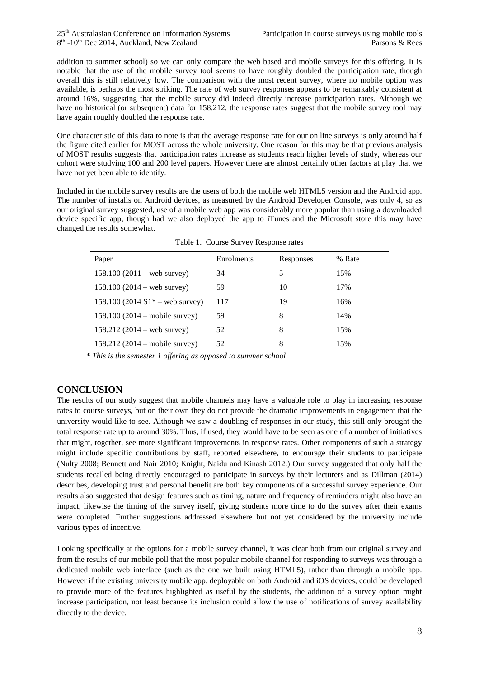addition to summer school) so we can only compare the web based and mobile surveys for this offering. It is notable that the use of the mobile survey tool seems to have roughly doubled the participation rate, though overall this is still relatively low. The comparison with the most recent survey, where no mobile option was available, is perhaps the most striking. The rate of web survey responses appears to be remarkably consistent at around 16%, suggesting that the mobile survey did indeed directly increase participation rates. Although we have no historical (or subsequent) data for 158.212, the response rates suggest that the mobile survey tool may have again roughly doubled the response rate.

One characteristic of this data to note is that the average response rate for our on line surveys is only around half the figure cited earlier for MOST across the whole university. One reason for this may be that previous analysis of MOST results suggests that participation rates increase as students reach higher levels of study, whereas our cohort were studying 100 and 200 level papers. However there are almost certainly other factors at play that we have not yet been able to identify.

Included in the mobile survey results are the users of both the mobile web HTML5 version and the Android app. The number of installs on Android devices, as measured by the Android Developer Console, was only 4, so as our original survey suggested, use of a mobile web app was considerably more popular than using a downloaded device specific app, though had we also deployed the app to iTunes and the Microsoft store this may have changed the results somewhat.

| Paper                                   | Enrolments | Responses | % Rate |
|-----------------------------------------|------------|-----------|--------|
| $158.100 (2011 - web survey)$           | 34         | 5         | 15%    |
| $158.100 (2014 - web survey)$           | 59         | 10        | 17%    |
| 158.100 (2014 $S1*$ – web survey)       | 117        | 19        | 16%    |
| $158.100 (2014 - \text{mobile survey})$ | 59         | 8         | 14%    |
| $158.212(2014 -$ web survey)            | 52         | 8         | 15%    |
| $158.212 (2014 - \text{mobile survey})$ | 52         | 8         | 15%    |

|  |  |  | Table 1. Course Survey Response rates |  |
|--|--|--|---------------------------------------|--|
|--|--|--|---------------------------------------|--|

*\* This is the semester 1 offering as opposed to summer school*

## **CONCLUSION**

The results of our study suggest that mobile channels may have a valuable role to play in increasing response rates to course surveys, but on their own they do not provide the dramatic improvements in engagement that the university would like to see. Although we saw a doubling of responses in our study, this still only brought the total response rate up to around 30%. Thus, if used, they would have to be seen as one of a number of initiatives that might, together, see more significant improvements in response rates. Other components of such a strategy might include specific contributions by staff, reported elsewhere, to encourage their students to participate (Nulty 2008; Bennett and Nair 2010; Knight, Naidu and Kinash 2012.) Our survey suggested that only half the students recalled being directly encouraged to participate in surveys by their lecturers and as Dillman (2014) describes, developing trust and personal benefit are both key components of a successful survey experience. Our results also suggested that design features such as timing, nature and frequency of reminders might also have an impact, likewise the timing of the survey itself, giving students more time to do the survey after their exams were completed. Further suggestions addressed elsewhere but not yet considered by the university include various types of incentive.

Looking specifically at the options for a mobile survey channel, it was clear both from our original survey and from the results of our mobile poll that the most popular mobile channel for responding to surveys was through a dedicated mobile web interface (such as the one we built using HTML5), rather than through a mobile app. However if the existing university mobile app, deployable on both Android and iOS devices, could be developed to provide more of the features highlighted as useful by the students, the addition of a survey option might increase participation, not least because its inclusion could allow the use of notifications of survey availability directly to the device.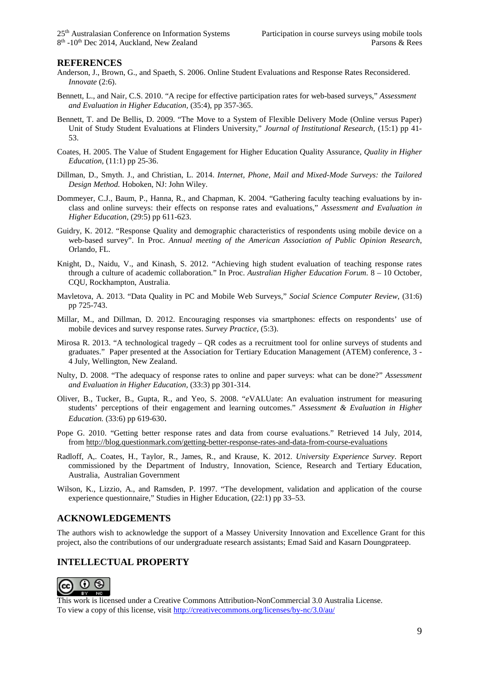### **REFERENCES**

- Anderson, J., Brown, G., and Spaeth, S. 2006. Online Student Evaluations and Response Rates Reconsidered. *Innovate* (2:6).
- Bennett, L., and Nair, C.S. 2010. "A recipe for effective participation rates for web-based surveys," *Assessment and Evaluation in Higher Education,* (35:4), pp 357-365.
- Bennett, T. and De Bellis, D. 2009. "The Move to a System of Flexible Delivery Mode (Online versus Paper) Unit of Study Student Evaluations at Flinders University," *Journal of Institutional Research*, (15:1) pp 41- 53.
- Coates, H. 2005. The Value of Student Engagement for Higher Education Quality Assurance, *Quality in Higher Education,* (11:1) pp 25-36.
- Dillman, D., Smyth. J., and Christian, L. 2014. *Internet, Phone, Mail and Mixed-Mode Surveys: the Tailored Design Method.* Hoboken, NJ: John Wiley.
- Dommeyer, C.J., Baum, P., Hanna, R., and Chapman, K. 2004. "Gathering faculty teaching evaluations by inclass and online surveys: their effects on response rates and evaluations," *Assessment and Evaluation in Higher Education*, (29:5) pp 611-623.
- Guidry, K. 2012. "Response Quality and demographic characteristics of respondents using mobile device on a web-based survey". In Proc. *Annual meeting of the American Association of Public Opinion Research*, Orlando, FL.
- Knight, D., Naidu, V., and Kinash, S. 2012. "Achieving high student evaluation of teaching response rates through a culture of academic collaboration*.*" In Proc. *Australian Higher Education Forum*. 8 – 10 October, CQU, Rockhampton, Australia.
- Mavletova, A. 2013. "Data Quality in PC and Mobile Web Surveys," *Social Science Computer Review*, (31:6) pp 725-743.
- Millar, M., and Dillman, D. 2012. Encouraging responses via smartphones: effects on respondents' use of mobile devices and survey response rates. *Survey Practice*, (5:3).
- Mirosa R. 2013. "A technological tragedy QR codes as a recruitment tool for online surveys of students and graduates." Paper presented at the Association for Tertiary Education Management (ATEM) conference, 3 - 4 July, Wellington, New Zealand.
- Nulty, D. 2008. "The adequacy of response rates to online and paper surveys: what can be done?" *Assessment and Evaluation in Higher Education,* (33:3) pp 301-314.
- Oliver, B., Tucker, B., Gupta, R., and Yeo, S. 2008. "*e*VALUate: An evaluation instrument for measuring students' perceptions of their engagement and learning outcomes." *Assessment & Evaluation in Higher Education.* (33:6) pp 619-630.
- Pope G. 2010. "Getting better response rates and data from course evaluations." Retrieved 14 July, 2014, from<http://blog.questionmark.com/getting-better-response-rates-and-data-from-course-evaluations>
- Radloff, A,. Coates, H., Taylor, R., James, R., and Krause, K. 2012. *University Experience Survey*. Report commissioned by the Department of Industry, Innovation, Science, Research and Tertiary Education, Australia, Australian Government
- Wilson, K., Lizzio, A., and Ramsden, P. 1997. "The development, validation and application of the course experience questionnaire," Studies in Higher Education, (22:1) pp 33–53.

### **ACKNOWLEDGEMENTS**

The authors wish to acknowledge the support of a Massey University Innovation and Excellence Grant for this project, also the contributions of our undergraduate research assistants; Emad Said and Kasarn Doungprateep.

### **INTELLECTUAL PROPERTY**



This work is licensed under a Creative Commons Attribution-NonCommercial 3.0 Australia License. To view a copy of this license, visit<http://creativecommons.org/licenses/by-nc/3.0/au/>